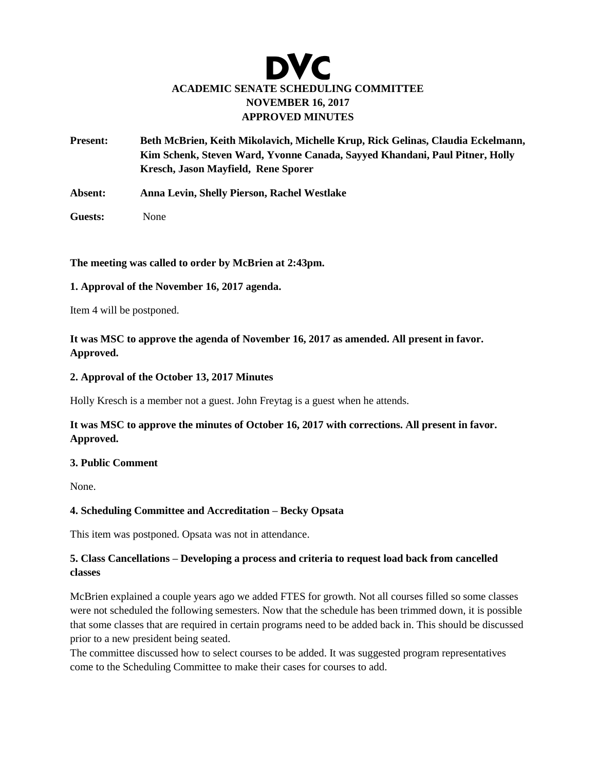# DVC **ACADEMIC SENATE SCHEDULING COMMITTEE NOVEMBER 16, 2017 APPROVED MINUTES**

- **Present: Beth McBrien, Keith Mikolavich, Michelle Krup, Rick Gelinas, Claudia Eckelmann, Kim Schenk, Steven Ward, Yvonne Canada, Sayyed Khandani, Paul Pitner, Holly Kresch, Jason Mayfield, Rene Sporer**
- **Absent: Anna Levin, Shelly Pierson, Rachel Westlake**
- **Guests:** None

**The meeting was called to order by McBrien at 2:43pm.** 

### **1. Approval of the November 16, 2017 agenda.**

Item 4 will be postponed.

**It was MSC to approve the agenda of November 16, 2017 as amended. All present in favor. Approved.** 

#### **2. Approval of the October 13, 2017 Minutes**

Holly Kresch is a member not a guest. John Freytag is a guest when he attends.

## **It was MSC to approve the minutes of October 16, 2017 with corrections. All present in favor. Approved.**

#### **3. Public Comment**

None.

#### **4. Scheduling Committee and Accreditation – Becky Opsata**

This item was postponed. Opsata was not in attendance.

## **5. Class Cancellations – Developing a process and criteria to request load back from cancelled classes**

McBrien explained a couple years ago we added FTES for growth. Not all courses filled so some classes were not scheduled the following semesters. Now that the schedule has been trimmed down, it is possible that some classes that are required in certain programs need to be added back in. This should be discussed prior to a new president being seated.

The committee discussed how to select courses to be added. It was suggested program representatives come to the Scheduling Committee to make their cases for courses to add.